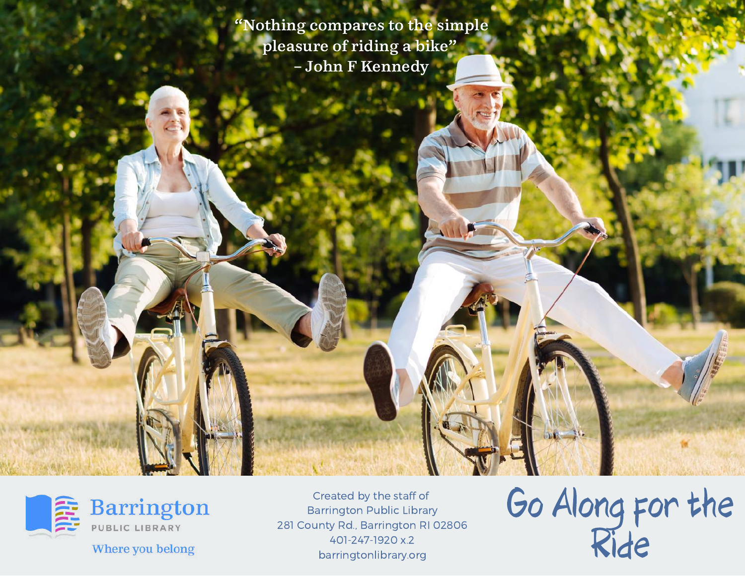"Nothing compares to the simple pleasure of riding a bike" – John F Kennedy



Created by the staff of Barrington Public Library 281 County Rd., Barrington RI 02806 401-247-1920 x.2 barringtonlibrary.org

Go Along for the Ride